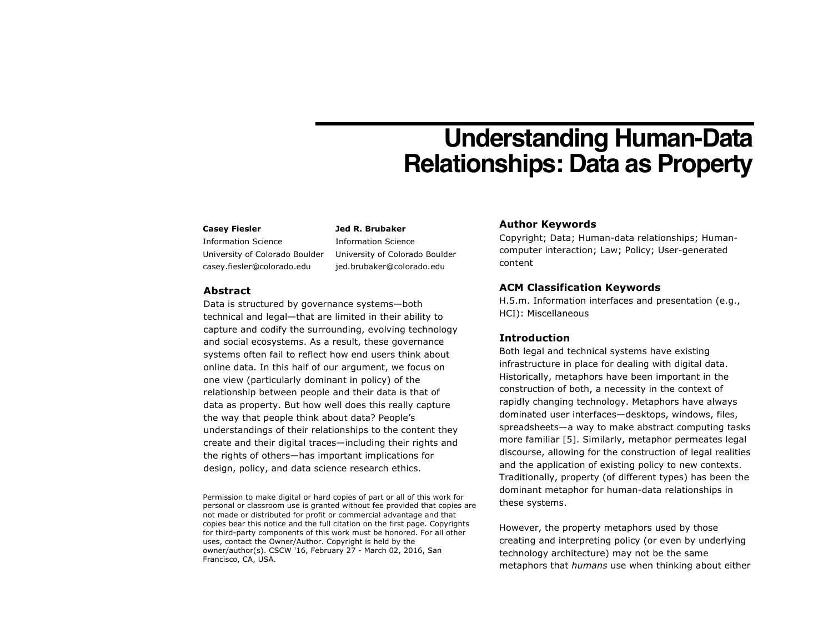# **Understanding Human-Data Relationships: Data as Property**

#### **Casey Fiesler**

Information Science University of Colorado Boulder casey.fiesler@colorado.edu

**Jed R. Brubaker** Information Science University of Colorado Boulder jed.brubaker@colorado.edu

## **Abstract**

Data is structured by governance systems—both technical and legal—that are limited in their ability to capture and codify the surrounding, evolving technology and social ecosystems. As a result, these governance systems often fail to reflect how end users think about online data. In this half of our argument, we focus on one view (particularly dominant in policy) of the relationship between people and their data is that of data as property. But how well does this really capture the way that people think about data? People's understandings of their relationships to the content they create and their digital traces—including their rights and the rights of others—has important implications for design, policy, and data science research ethics.

Permission to make digital or hard copies of part or all of this work for personal or classroom use is granted without fee provided that copies are not made or distributed for profit or commercial advantage and that copies bear this notice and the full citation on the first page. Copyrights for third-party components of this work must be honored. For all other uses, contact the Owner/Author. Copyright is held by the owner/author(s). CSCW '16, February 27 - March 02, 2016, San Francisco, CA, USA.

## **Author Keywords**

Copyright; Data; Human-data relationships; Humancomputer interaction; Law; Policy; User-generated content

# **ACM Classification Keywords**

H.5.m. Information interfaces and presentation (e.g., HCI): Miscellaneous

## **Introduction**

Both legal and technical systems have existing infrastructure in place for dealing with digital data. Historically, metaphors have been important in the construction of both, a necessity in the context of rapidly changing technology. Metaphors have always dominated user interfaces—desktops, windows, files, spreadsheets—a way to make abstract computing tasks more familiar [5]. Similarly, metaphor permeates legal discourse, allowing for the construction of legal realities and the application of existing policy to new contexts. Traditionally, property (of different types) has been the dominant metaphor for human-data relationships in these systems.

However, the property metaphors used by those creating and interpreting policy (or even by underlying technology architecture) may not be the same metaphors that *humans* use when thinking about either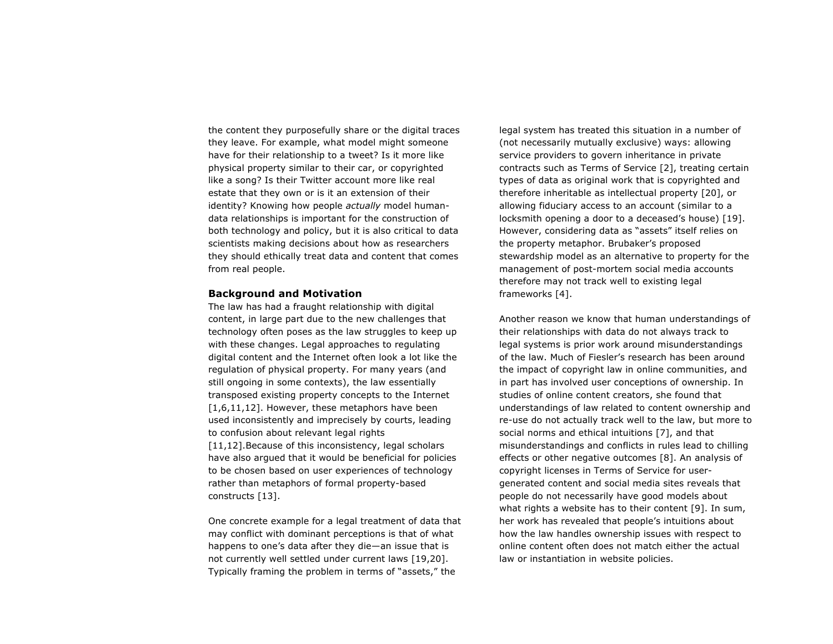the content they purposefully share or the digital traces they leave. For example, what model might someone have for their relationship to a tweet? Is it more like physical property similar to their car, or copyrighted like a song? Is their Twitter account more like real estate that they own or is it an extension of their identity? Knowing how people *actually* model humandata relationships is important for the construction of both technology and policy, but it is also critical to data scientists making decisions about how as researchers they should ethically treat data and content that comes from real people.

### **Background and Motivation**

The law has had a fraught relationship with digital content, in large part due to the new challenges that technology often poses as the law struggles to keep up with these changes. Legal approaches to regulating digital content and the Internet often look a lot like the regulation of physical property. For many years (and still ongoing in some contexts), the law essentially transposed existing property concepts to the Internet [1,6,11,12]. However, these metaphors have been used inconsistently and imprecisely by courts, leading to confusion about relevant legal rights [11,12]. Because of this inconsistency, legal scholars have also argued that it would be beneficial for policies to be chosen based on user experiences of technology rather than metaphors of formal property-based constructs [13].

One concrete example for a legal treatment of data that may conflict with dominant perceptions is that of what happens to one's data after they die—an issue that is not currently well settled under current laws [19,20]. Typically framing the problem in terms of "assets," the

legal system has treated this situation in a number of (not necessarily mutually exclusive) ways: allowing service providers to govern inheritance in private contracts such as Terms of Service [2], treating certain types of data as original work that is copyrighted and therefore inheritable as intellectual property [20], or allowing fiduciary access to an account (similar to a locksmith opening a door to a deceased's house) [19]. However, considering data as "assets" itself relies on the property metaphor. Brubaker's proposed stewardship model as an alternative to property for the management of post-mortem social media accounts therefore may not track well to existing legal frameworks [4].

Another reason we know that human understandings of their relationships with data do not always track to legal systems is prior work around misunderstandings of the law. Much of Fiesler's research has been around the impact of copyright law in online communities, and in part has involved user conceptions of ownership. In studies of online content creators, she found that understandings of law related to content ownership and re-use do not actually track well to the law, but more to social norms and ethical intuitions [7], and that misunderstandings and conflicts in rules lead to chilling effects or other negative outcomes [8]. An analysis of copyright licenses in Terms of Service for usergenerated content and social media sites reveals that people do not necessarily have good models about what rights a website has to their content [9]. In sum, her work has revealed that people's intuitions about how the law handles ownership issues with respect to online content often does not match either the actual law or instantiation in website policies.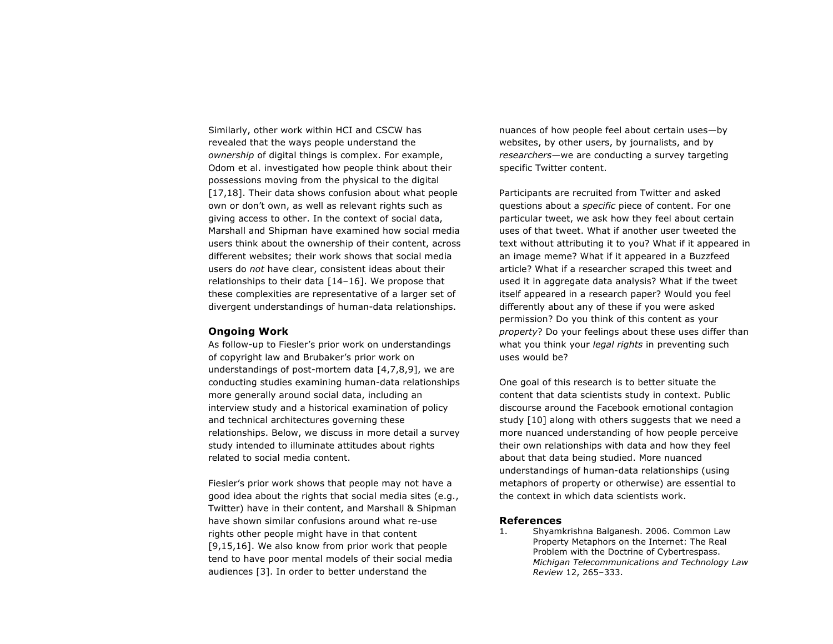Similarly, other work within HCI and CSCW has revealed that the ways people understand the *ownership* of digital things is complex. For example, Odom et al. investigated how people think about their possessions moving from the physical to the digital [17,18]. Their data shows confusion about what people own or don't own, as well as relevant rights such as giving access to other. In the context of social data, Marshall and Shipman have examined how social media users think about the ownership of their content, across different websites; their work shows that social media users do *not* have clear, consistent ideas about their relationships to their data [14–16]. We propose that these complexities are representative of a larger set of divergent understandings of human-data relationships.

#### **Ongoing Work**

As follow-up to Fiesler's prior work on understandings of copyright law and Brubaker's prior work on understandings of post-mortem data [4,7,8,9], we are conducting studies examining human-data relationships more generally around social data, including an interview study and a historical examination of policy and technical architectures governing these relationships. Below, we discuss in more detail a survey study intended to illuminate attitudes about rights related to social media content.

Fiesler's prior work shows that people may not have a good idea about the rights that social media sites (e.g., Twitter) have in their content, and Marshall & Shipman have shown similar confusions around what re-use rights other people might have in that content [9,15,16]. We also know from prior work that people tend to have poor mental models of their social media audiences [3]. In order to better understand the

nuances of how people feel about certain uses—by websites, by other users, by journalists, and by *researchers*—we are conducting a survey targeting specific Twitter content.

Participants are recruited from Twitter and asked questions about a *specific* piece of content. For one particular tweet, we ask how they feel about certain uses of that tweet. What if another user tweeted the text without attributing it to you? What if it appeared in an image meme? What if it appeared in a Buzzfeed article? What if a researcher scraped this tweet and used it in aggregate data analysis? What if the tweet itself appeared in a research paper? Would you feel differently about any of these if you were asked permission? Do you think of this content as your *property*? Do your feelings about these uses differ than what you think your *legal rights* in preventing such uses would be?

One goal of this research is to better situate the content that data scientists study in context. Public discourse around the Facebook emotional contagion study [10] along with others suggests that we need a more nuanced understanding of how people perceive their own relationships with data and how they feel about that data being studied. More nuanced understandings of human-data relationships (using metaphors of property or otherwise) are essential to the context in which data scientists work.

#### **References**

1. Shyamkrishna Balganesh. 2006. Common Law Property Metaphors on the Internet: The Real Problem with the Doctrine of Cybertrespass. *Michigan Telecommunications and Technology Law Review* 12, 265–333.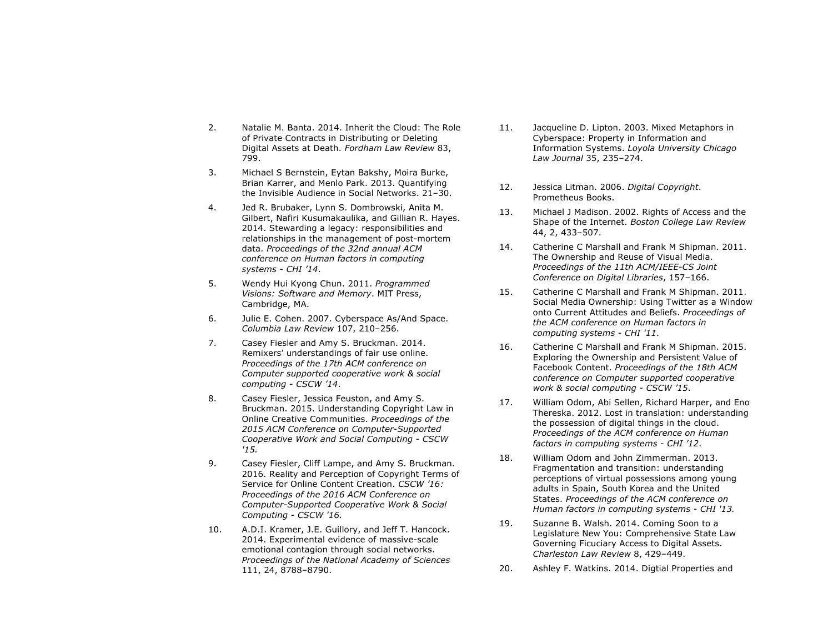- 2. Natalie M. Banta. 2014. Inherit the Cloud: The Role of Private Contracts in Distributing or Deleting Digital Assets at Death. *Fordham Law Review* 83, 799.
- 3. Michael S Bernstein, Eytan Bakshy, Moira Burke, Brian Karrer, and Menlo Park. 2013. Quantifying the Invisible Audience in Social Networks. 21–30.
- 4. Jed R. Brubaker, Lynn S. Dombrowski, Anita M. Gilbert, Nafiri Kusumakaulika, and Gillian R. Hayes. 2014. Stewarding a legacy: responsibilities and relationships in the management of post-mortem data. *Proceedings of the 32nd annual ACM conference on Human factors in computing systems - CHI '14*.
- 5. Wendy Hui Kyong Chun. 2011. *Programmed Visions: Software and Memory*. MIT Press, Cambridge, MA.
- 6. Julie E. Cohen. 2007. Cyberspace As/And Space. *Columbia Law Review* 107, 210–256.
- 7. Casey Fiesler and Amy S. Bruckman. 2014. Remixers' understandings of fair use online. *Proceedings of the 17th ACM conference on Computer supported cooperative work & social computing - CSCW '14*.
- 8. Casey Fiesler, Jessica Feuston, and Amy S. Bruckman. 2015. Understanding Copyright Law in Online Creative Communities. *Proceedings of the 2015 ACM Conference on Computer-Supported Cooperative Work and Social Computing* - *CSCW '15.*
- 9. Casey Fiesler, Cliff Lampe, and Amy S. Bruckman. 2016. Reality and Perception of Copyright Terms of Service for Online Content Creation. *CSCW '16: Proceedings of the 2016 ACM Conference on Computer-Supported Cooperative Work & Social Computing* - *CSCW '16.*
- 10. A.D.I. Kramer, J.E. Guillory, and Jeff T. Hancock. 2014. Experimental evidence of massive-scale emotional contagion through social networks. *Proceedings of the National Academy of Sciences* 111, 24, 8788–8790.
- 11. Jacqueline D. Lipton. 2003. Mixed Metaphors in Cyberspace: Property in Information and Information Systems. *Loyola University Chicago Law Journal* 35, 235–274.
- 12. Jessica Litman. 2006. *Digital Copyright*. Prometheus Books.
- 13. Michael J Madison. 2002. Rights of Access and the Shape of the Internet. *Boston College Law Review* 44, 2, 433–507.
- 14. Catherine C Marshall and Frank M Shipman. 2011. The Ownership and Reuse of Visual Media. *Proceedings of the 11th ACM/IEEE-CS Joint Conference on Digital Libraries*, 157–166.
- 15. Catherine C Marshall and Frank M Shipman. 2011. Social Media Ownership: Using Twitter as a Window onto Current Attitudes and Beliefs. *Proceedings of the ACM conference on Human factors in computing systems - CHI '11*.
- 16. Catherine C Marshall and Frank M Shipman. 2015. Exploring the Ownership and Persistent Value of Facebook Content. *Proceedings of the 18th ACM conference on Computer supported cooperative work & social computing - CSCW '15*.
- 17. William Odom, Abi Sellen, Richard Harper, and Eno Thereska. 2012. Lost in translation: understanding the possession of digital things in the cloud. *Proceedings of the ACM conference on Human factors in computing systems - CHI '12*.
- 18. William Odom and John Zimmerman. 2013. Fragmentation and transition: understanding perceptions of virtual possessions among young adults in Spain, South Korea and the United States. *Proceedings of the ACM conference on Human factors in computing systems - CHI '13.*
- 19. Suzanne B. Walsh. 2014. Coming Soon to a Legislature New You: Comprehensive State Law Governing Ficuciary Access to Digital Assets. *Charleston Law Review* 8, 429–449.
- 20. Ashley F. Watkins. 2014. Digtial Properties and